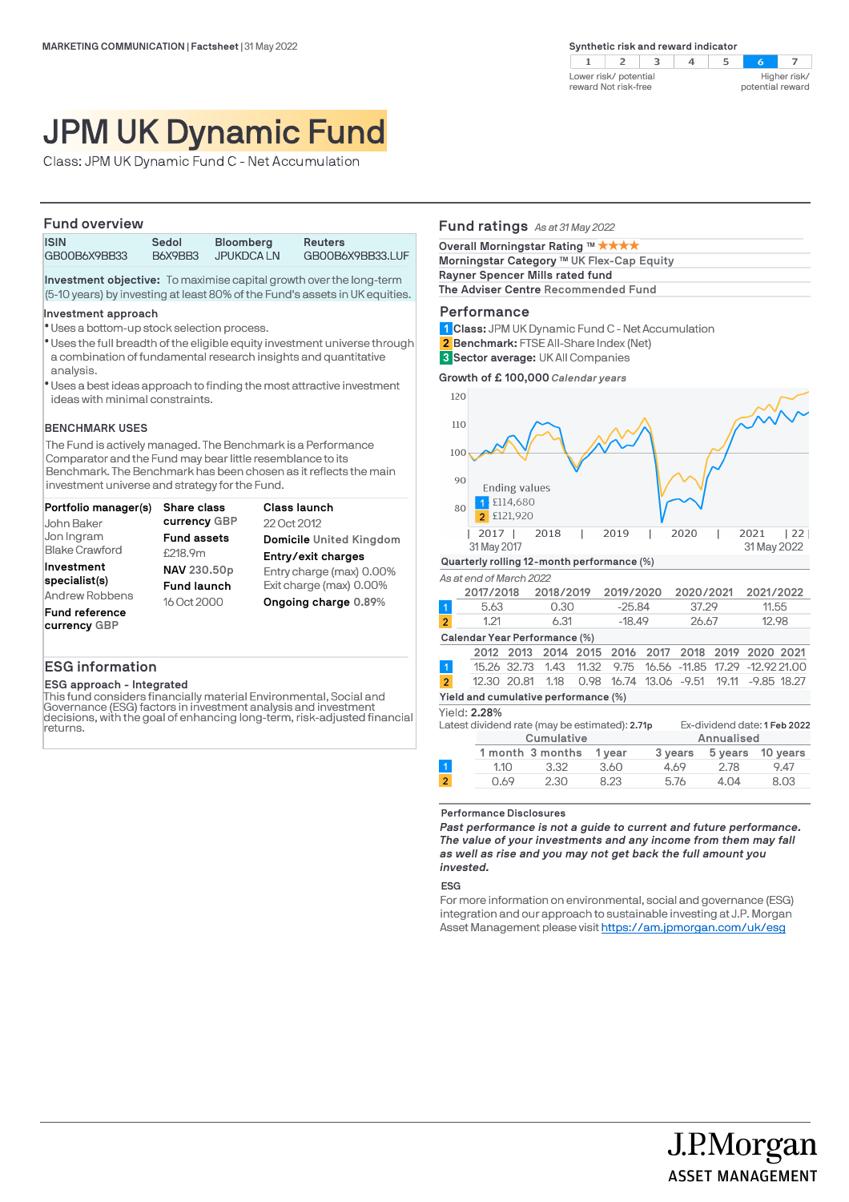| er risk/potential<br>ard Not risk-free |  | potential reward | Higher risk/ |
|----------------------------------------|--|------------------|--------------|

# JPM UK Dynamic Fund

Class: JPM UK Dynamic Fund C - Net Accumulation

### **Fund overview**

| .            |         |                  |                  |  |
|--------------|---------|------------------|------------------|--|
| <b>ISIN</b>  | Sedol   | <b>Bloomberg</b> | <b>Reuters</b>   |  |
| GB00B6X9BB33 | B6X9BB3 | JPUKDCA LN       | GB00B6X9BB33.LUF |  |

**Investment objective:** To maximise capital growth over the long-term (5-10 years) by investing at least 80% of the Fund's assets in UK equities.

### **Investment approach**

- Uses a bottom-up stock selection process. l
- \* Uses the full breadth of the eligible equity investment universe through a combination of fundamental research insights and quantitative analysis.
- Uses a best ideas approach to finding the most attractive investment l ideas with minimal constraints.

# **BENCHMARK USES**

The Fund is actively managed. The Benchmark is a Performance Comparator and the Fund may bear little resemblance to its Benchmark. The Benchmark has been chosen as it reflects the main investment universe and strategy for the Fund.

| Portfolio manager(s)           | Share class        | <b>Class launch</b>      |
|--------------------------------|--------------------|--------------------------|
| John Baker                     | currency GBP       | 22 Oct 2012              |
| Jon Ingram                     | <b>Fund assets</b> | Domicile United Kingdom  |
| <b>Blake Crawford</b>          | £218.9m            | Entry/exit charges       |
| Investment                     | NAV 230.50p        | Entry charge (max) 0.00% |
| specialist(s)                  | <b>Fund launch</b> | Exit charge (max) 0.00%  |
| <b>Andrew Robbens</b>          | 16 Oct 2000        | Ongoing charge 0.89%     |
| Fund reference<br>currency GBP |                    |                          |

# **ESG information**

**ESG approach - Integrated**

This fund considers financially material Environmental, Social and Governance (ESG) factors in investment analysis and investment decisions, with the goal of enhancing long-term, risk-adjusted financial returns.

# **Fund ratings** *As at 31 May 2022*

| Overall Morningstar Rating ™ ★★★★         |  |
|-------------------------------------------|--|
| Morningstar Category ™ UK Flex-Cap Equity |  |
| Rayner Spencer Mills rated fund           |  |
| The Adviser Centre Recommended Fund       |  |

### **Performance**

**Class:** JPM UK Dynamic Fund C - Net Accumulation **1 Benchmark:** FTSE All-Share Index (Net) **2**

 $\overline{\phantom{a}}$  row  $r \approx 1$ 

**Sector average:** UK All Companies **3**

**Growth of £ 100,000** *Calendar years*



#### **Performance Disclosures**

*Past performance is not a guide to current and future performance. The value of your investments and any income from them may fall as well as rise and you may not get back the full amount you invested.* 

# **ESG**

For more information on environmental, social and governance (ESG) integration and our approach to sustainable investing at J.P. Morgan Asset Management please visit https://am.jpmorgan.com/uk/esg

J.P.Morgan

**ASSET MANAGEMENT**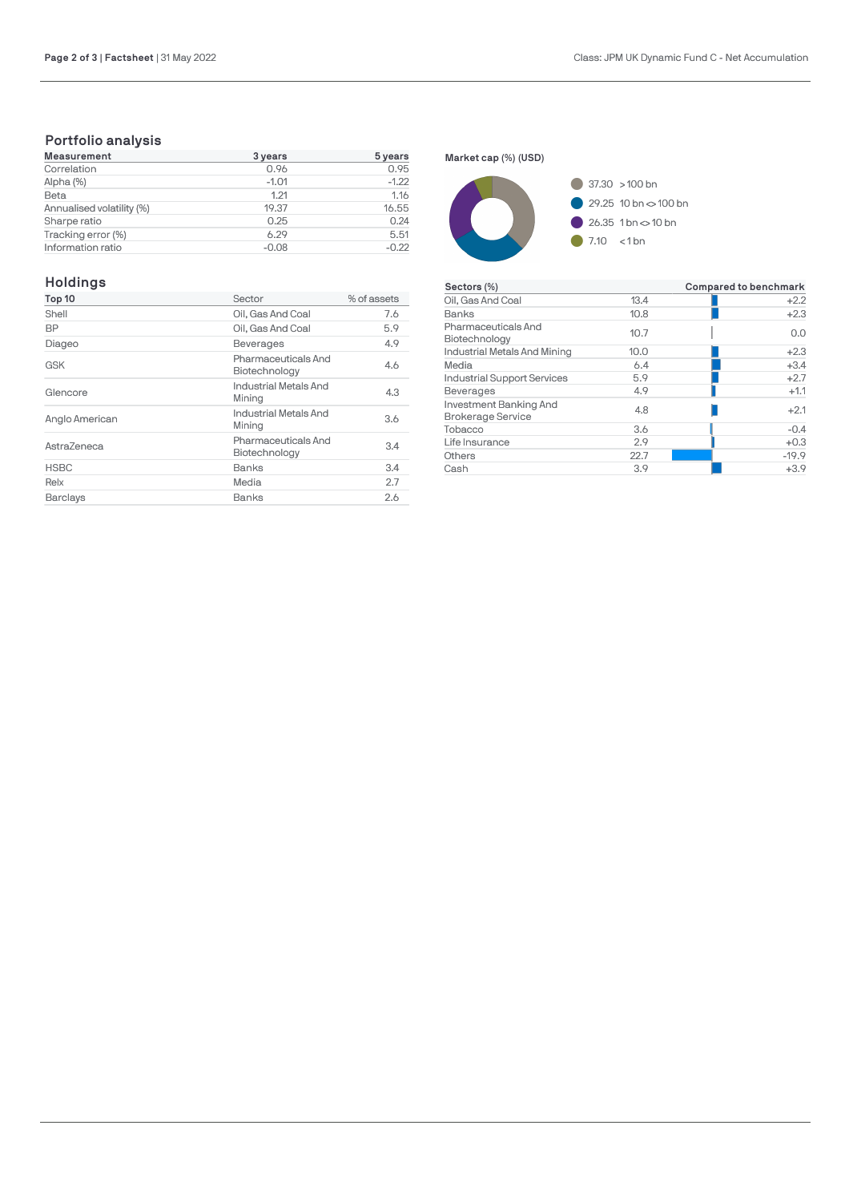# **Portfolio analysis**

| <b>Measurement</b>        | 3 years | 5 years |
|---------------------------|---------|---------|
| Correlation               | 0.96    | 0.95    |
| Alpha (%)                 | $-1.01$ | $-1.22$ |
| Beta                      | 1.21    | 1.16    |
| Annualised volatility (%) | 19.37   | 16.55   |
| Sharpe ratio              | 0.25    | 0.24    |
| Tracking error (%)        | 6.29    | 5.51    |
| Information ratio         | $-0.08$ | $-0.22$ |

# **Holdings**

| Top 10         | Sector                               | % of assets |
|----------------|--------------------------------------|-------------|
| Shell          | Oil, Gas And Coal                    | 7.6         |
| <b>BP</b>      | Oil, Gas And Coal                    | 5.9         |
| Diageo         | <b>Beverages</b>                     | 4.9         |
| <b>GSK</b>     | Pharmaceuticals And<br>Biotechnology | 4.6         |
| Glencore       | Industrial Metals And<br>Mining      | 4.3         |
| Anglo American | Industrial Metals And<br>Mining      | 3.6         |
| AstraZeneca    | Pharmaceuticals And<br>Biotechnology | 3.4         |
| <b>HSBC</b>    | Banks                                | 3.4         |
| Relx           | Media                                | 2.7         |
| Barclays       | Banks                                | 2.6         |





| Sectors (%)                                        |      | Compared to benchmark |
|----------------------------------------------------|------|-----------------------|
| Oil. Gas And Coal                                  | 13.4 | $+2.2$                |
| Banks                                              | 10.8 | $+2.3$                |
| Pharmaceuticals And<br>Biotechnology               | 10.7 | 0.0                   |
| Industrial Metals And Mining                       | 10.0 | $+2.3$                |
| Media                                              | 6.4  | $+3.4$                |
| Industrial Support Services                        | 5.9  | $+2.7$                |
| <b>Beverages</b>                                   | 4.9  | $+1.1$                |
| Investment Banking And<br><b>Brokerage Service</b> | 4.8  | $+2.1$                |
| Tobacco                                            | 3.6  | $-0.4$                |
| Life Insurance                                     | 2.9  | $+0.3$                |
| Others                                             | 22.7 | $-19.9$               |
| Cash                                               | 3.9  | $+3.9$                |